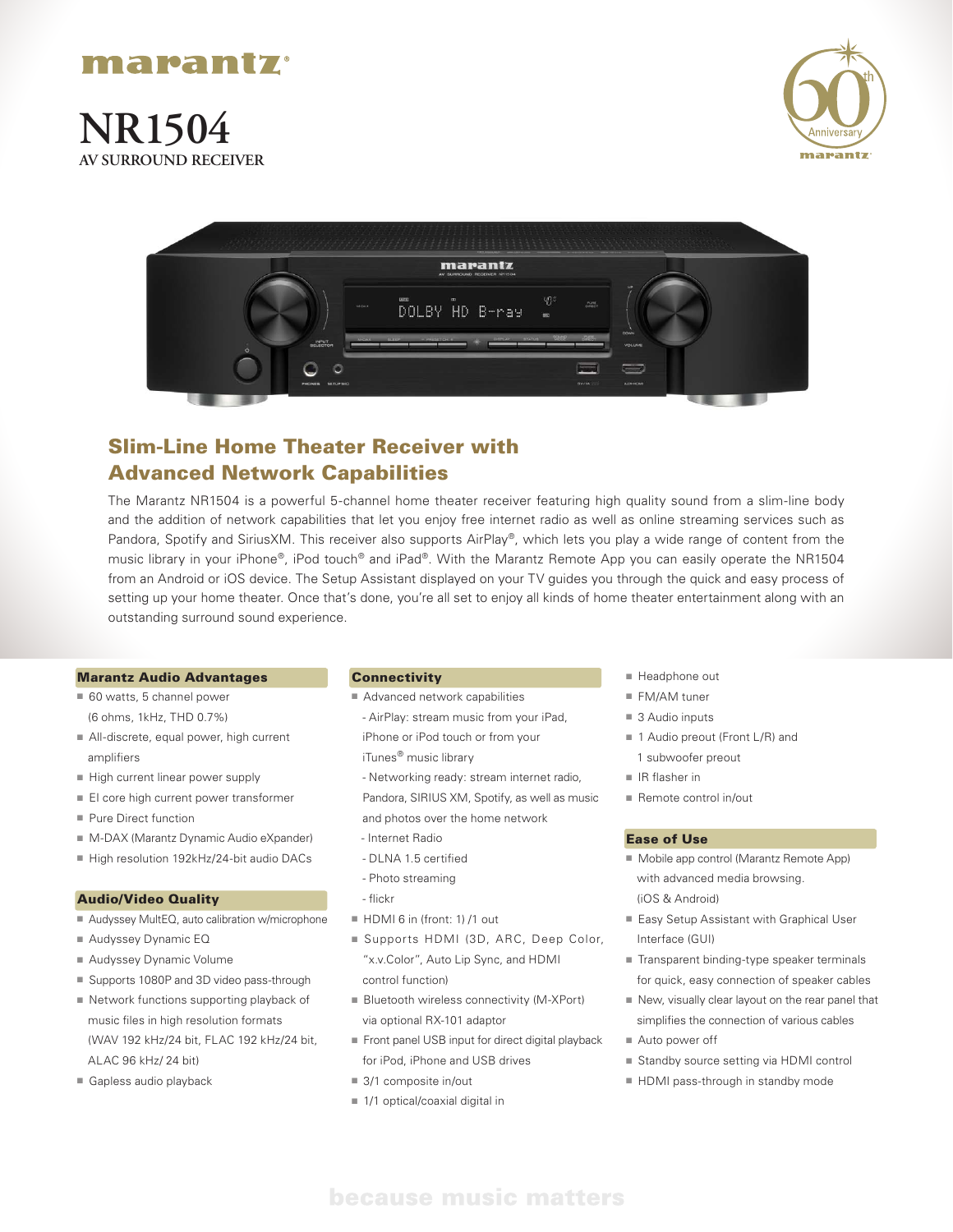

**NR1504 AV SURROUND RECEIVER**





# Slim-Line Home Theater Receiver with Advanced Network Capabilities

The Marantz NR1504 is a powerful 5-channel home theater receiver featuring high quality sound from a slim-line body and the addition of network capabilities that let you enjoy free internet radio as well as online streaming services such as Pandora, Spotify and SiriusXM. This receiver also supports AirPlay®, which lets you play a wide range of content from the music library in your iPhone®, iPod touch® and iPad®. With the Marantz Remote App you can easily operate the NR1504 from an Android or iOS device. The Setup Assistant displayed on your TV guides you through the quick and easy process of setting up your home theater. Once that's done, you're all set to enjoy all kinds of home theater entertainment along with an outstanding surround sound experience.

#### Marantz Audio Advantages

- 60 watts, 5 channel power (6 ohms, 1kHz, THD 0.7%)
- All-discrete, equal power, high current amplifiers
- $\blacksquare$  High current linear power supply
- $\blacksquare$  EI core high current power transformer
- Pure Direct function
- $M$ -DAX (Marantz Dynamic Audio eXpander)
- $H$ igh resolution 192kHz/24-bit audio DACs

#### Audio/Video Quality

- $\blacksquare$  Audyssey MultEQ, auto calibration w/microphone
- Audyssey Dynamic EQ
- Audyssey Dynamic Volume
- Supports 1080P and 3D video pass-through
- Network functions supporting playback of music files in high resolution formats (WAV 192 kHz/24 bit, FLAC 192 kHz/24 bit, ALAC 96 kHz/ 24 bit)
- $\blacksquare$  Gapless audio playback

#### **Connectivity**

- Advanced network capabilities
	- AirPlay: stream music from your iPad, iPhone or iPod touch or from your
	- iTunes® music library
	- Networking ready: stream internet radio,
	- Pandora, SIRIUS XM, Spotify, as well as music and photos over the home network
- Internet Radio
- DLNA 1.5 certified
- Photo streaming
- flickr
- $HDMI 6$  in (front: 1) /1 out
- Supports HDMI (3D, ARC, Deep Color, "x.v.Color", Auto Lip Sync, and HDMI control function)
- Bluetooth wireless connectivity (M-XPort) via optional RX-101 adaptor
- $\blacksquare$  Front panel USB input for direct digital playback for iPod, iPhone and USB drives
- $\equiv$  3/1 composite in/out
- $1/1$  optical/coaxial digital in
- Headphone out
- $F_{M/AM}$  tuner
- $\equiv$  3 Audio inputs
- 1 Audio preout (Front L/R) and
	- 1 subwoofer preout
- $\blacksquare$  IR flasher in
- $R$  Remote control in/out

#### Ease of Use

- $\blacksquare$  Mobile app control (Marantz Remote App) with advanced media browsing. (iOS & Android)
- Easy Setup Assistant with Graphical User Interface (GUI)
- Transparent binding-type speaker terminals for quick, easy connection of speaker cables
- New, visually clear layout on the rear panel that simplifies the connection of various cables
- Auto power off
- Standby source setting via HDMI control
- $\blacksquare$  HDMI pass-through in standby mode

## because music matters